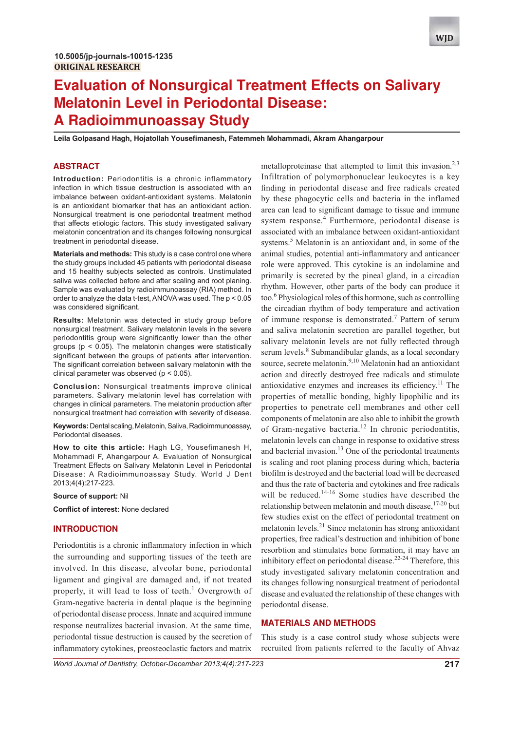

 $\blacksquare$ Eila Golpasand Hagh, Hojatollah Yousefimanesh, Fatemmeh Mohammadi, Akram Ahangarpour

## **ABSTRACT**

**Introduction:** Periodontitis is a chronic inflammatory infection in which tissue destruction is associated with an imbalance between oxidant-antioxidant systems. Melatonin is an antioxidant biomarker that has an antioxidant action. Nonsurgical treatment is one periodontal treatment method that affects etiologic factors. This study investigated salivary melatonin concentration and its changes following nonsurgical treatment in periodontal disease.

**Materials and methods:** This study is a case control one where the study groups included 45 patients with periodontal disease and 15 healthy subjects selected as controls. Unstimulated saliva was collected before and after scaling and root planing. Sample was evaluated by radioimmunoassay (RIA) method. In order to analyze the data t-test, ANOVA was used. The p < 0.05 was considered significant.

**Results:** Melatonin was detected in study group before nonsurgical treatment. Salivary melatonin levels in the severe periodontitis group were significantly lower than the other groups ( $p < 0.05$ ). The melatonin changes were statistically significant between the groups of patients after intervention. The significant correlation between salivary melatonin with the clinical parameter was observed (p < 0.05).

**Conclusion:** Nonsurgical treatments improve clinical parameters. Salivary melatonin level has correlation with changes in clinical parameters. The melatonin production after nonsurgical treatment had correlation with severity of disease.

**Keywords:** Dental scaling, Melatonin, Saliva, Radioimmunoassay, Periodontal diseases.

**How to cite this article:** Hagh LG, Yousefimanesh H, Mohammadi F, Ahangarpour A. Evaluation of Nonsurgical Treatment Effects on Salivary Melatonin Level in Periodontal Disease: A Radioimmunoassay Study. World J Dent 2013;4(4):217-223.

**Source of support:** Nil

**Conflict of interest: None declared** 

## **INTRODUCTION**

Periodontitis is a chronic inflammatory infection in which the surrounding and supporting tissues of the teeth are involved. In this disease, alveolar bone, periodontal ligament and gingival are damaged and, if not treated properly, it will lead to loss of teeth.<sup>1</sup> Overgrowth of Gram-negative bacteria in dental plaque is the beginning of periodontal disease process. Innate and acquired immune response neutralizes bacterial invasion. At the same time, periodontal tissue destruction is caused by the secretion of inflammatory cytokines, preosteoclastic factors and matrix

metalloproteinase that attempted to limit this invasion.<sup>2,3</sup> Infiltration of polymorphonuclear leukocytes is a key finding in periodontal disease and free radicals created by these phagocytic cells and bacteria in the inflamed area can lead to significant damage to tissue and immune system response. $4$  Furthermore, periodontal disease is associated with an imbalance between oxidant-antioxidant systems.<sup>5</sup> Melatonin is an antioxidant and, in some of the animal studies, potential anti-inflammatory and anticancer role were approved. This cytokine is an indolamine and primarily is secreted by the pineal gland, in a circadian rhythm. However, other parts of the body can produce it too.<sup>6</sup> Physiological roles of this hormone, such as controlling the circadian rhythm of body temperature and activation of immune response is demonstrated.<sup>7</sup> Pattern of serum and saliva melatonin secretion are parallel together, but salivary melatonin levels are not fully reflected through serum levels.<sup>8</sup> Submandibular glands, as a local secondary source, secrete melatonin.<sup>9,10</sup> Melatonin had an antioxidant action and directly destroyed free radicals and stimulate antioxidative enzymes and increases its efficiency.<sup>11</sup> The properties of metallic bonding, highly lipophilic and its properties to penetrate cell membranes and other cell components of melatonin are also able to inhibit the growth of Gram-negative bacteria.<sup>12</sup> In chronic periodontitis, melatonin levels can change in response to oxidative stress and bacterial invasion.<sup>13</sup> One of the periodontal treatments is scaling and root planing process during which, bacteria biofilm is destroyed and the bacterial load will be decreased and thus the rate of bacteria and cytokines and free radicals will be reduced.<sup>14-16</sup> Some studies have described the relationship between melatonin and mouth disease,  $17-20$  but few studies exist on the effect of periodontal treatment on melatonin levels.<sup>21</sup> Since melatonin has strong antioxidant properties, free radical's destruction and inhibition of bone resorbtion and stimulates bone formation, it may have an inhibitory effect on periodontal disease.<sup>22-24</sup> Therefore, this study investigated salivary melatonin concentration and its changes following nonsurgical treatment of periodontal disease and evaluated the relationship of these changes with periodontal disease.

## **MATERIALS AND METHODS**

This study is a case control study whose subjects were recruited from patients referred to the faculty of Ahvaz

*World Journal of Dentistry, October-December 2013;4(4):217-223* **217**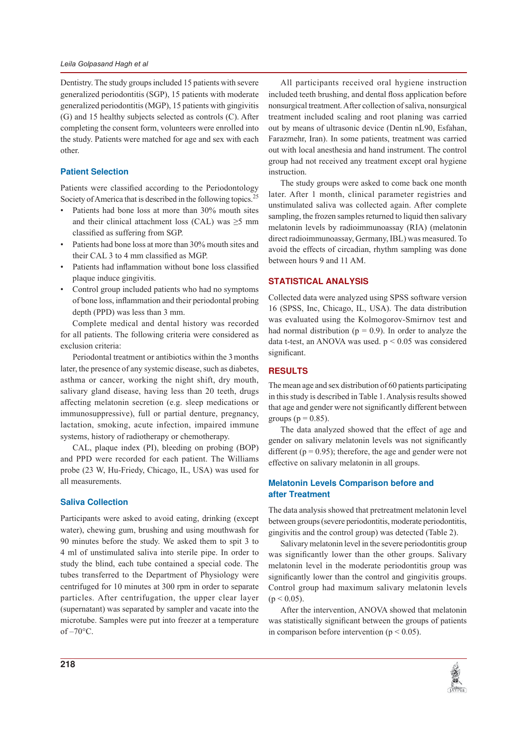Dentistry. The study groups included 15 patients with severe generalized periodontitis (SGP), 15 patients with moderate generalized periodontitis (MGP), 15 patients with gingivitis (G) and 15 healthy subjects selected as controls (C). After completing the consent form, volunteers were enrolled into the study. Patients were matched for age and sex with each other.

## **Patient Selection**

Patients were classified according to the Periodontology Society of America that is described in the following topics.<sup>25</sup>

- Patients had bone loss at more than 30% mouth sites  $\bullet$ and their clinical attachment loss (CAL) was  $\geq$ 5 mm classified as suffering from SGP.
- Patients had bone loss at more than 30% mouth sites and their CAL 3 to 4 mm classified as MGP.
- Patients had inflammation without bone loss classified plaque induce gingivitis.
- $\bullet$ Control group included patients who had no symptoms of bone loss, inflammation and their periodontal probing depth (PPD) was less than 3 mm.

Complete medical and dental history was recorded for all patients. The following criteria were considered as exclusion criteria:

Periodontal treatment or antibiotics within the 3 months later, the presence of any systemic disease, such as diabetes, asthma or cancer, working the night shift, dry mouth, salivary gland disease, having less than 20 teeth, drugs affecting melatonin secretion (e.g. sleep medications or immunosuppressive), full or partial denture, pregnancy, lactation, smoking, acute infection, impaired immune systems, history of radiotherapy or chemotherapy.

CAL, plaque index (PI), bleeding on probing (BOP) and PPD were recorded for each patient. The Williams probe (23 W, Hu-Friedy, Chicago, IL, USA) was used for all measurements.

## **Saliva Collection**

Participants were asked to avoid eating, drinking (except water), chewing gum, brushing and using mouthwash for 90 minutes before the study. We asked them to spit 3 to 4 ml of unstimulated saliva into sterile pipe. In order to study the blind, each tube contained a special code. The tubes transferred to the Department of Physiology were centrifuged for 10 minutes at 300 rpm in order to separate particles. After centrifugation, the upper clear layer (supernatant) was separated by sampler and vacate into the microtube. Samples were put into freezer at a temperature  $of -70$ °C.

All participants received oral hygiene instruction included teeth brushing, and dental floss application before nonsurgical treatment. After collection of saliva, nonsurgical treatment included scaling and root planing was carried out by means of ultrasonic device (Dentin nL90, Esfahan, Farazmehr, Iran). In some patients, treatment was carried out with local anesthesia and hand instrument. The control group had not received any treatment except oral hygiene instruction.

The study groups were asked to come back one month later. After 1 month, clinical parameter registries and unstimulated saliva was collected again. After complete sampling, the frozen samples returned to liquid then salivary melatonin levels by radioimmunoassay (RIA) (melatonin direct radioimmunoassay, Germany, IBL) was measured. To avoid the effects of circadian, rhythm sampling was done between hours 9 and 11 AM.

# **STATISTICAL ANALYSIS**

Collected data were analyzed using SPSS software version 16 (SPSS, Inc, Chicago, IL, USA). The data distribution was evaluated using the Kolmogorov-Smirnov test and had normal distribution ( $p = 0.9$ ). In order to analyze the data t-test, an ANOVA was used.  $p < 0.05$  was considered significant.

# **RESULTS**

The mean age and sex distribution of 60 patients participating in this study is described in Table 1. Analysis results showed that age and gender were not significantly different between groups ( $p = 0.85$ ).

The data analyzed showed that the effect of age and gender on salivary melatonin levels was not significantly different ( $p = 0.95$ ); therefore, the age and gender were not effective on salivary melatonin in all groups.

# **Melatonin Levels Comparison before and** after Treatment

The data analysis showed that pretreatment melatonin level between groups (severe periodontitis, moderate periodontitis, gingivitis and the control group) was detected (Table 2).

Salivary melatonin level in the severe periodontitis group was significantly lower than the other groups. Salivary melatonin level in the moderate periodontitis group was significantly lower than the control and gingivitis groups. Control group had maximum salivary melatonin levels  $(p < 0.05)$ .

After the intervention, ANOVA showed that melatonin was statistically significant between the groups of patients in comparison before intervention ( $p < 0.05$ ).

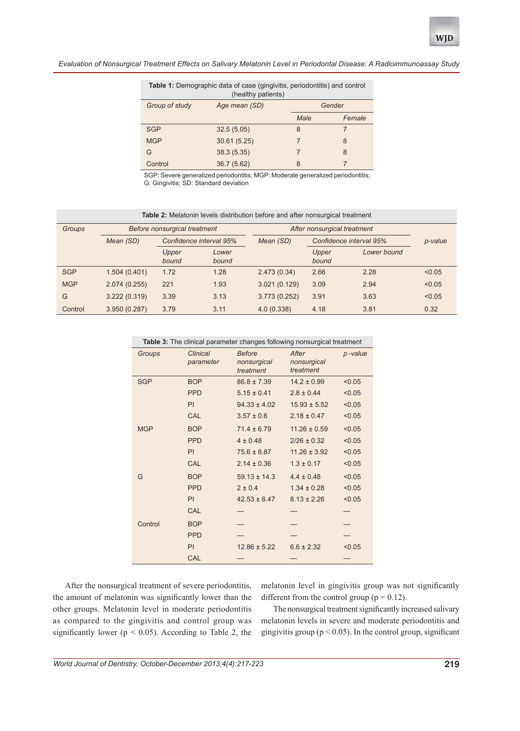| Table 1: Demographic data of case (gingivitis, periodontitis) and control<br>(healthy patients) |               |        |        |  |  |  |
|-------------------------------------------------------------------------------------------------|---------------|--------|--------|--|--|--|
| Group of study                                                                                  | Age mean (SD) | Gender |        |  |  |  |
|                                                                                                 |               | Male   | Female |  |  |  |
| <b>SGP</b>                                                                                      | 32.5(5.05)    | 8      | 7      |  |  |  |
| <b>MGP</b>                                                                                      | 30.61 (5.25)  |        | 8      |  |  |  |
| G                                                                                               | 38.3(5.35)    |        | 8      |  |  |  |
| Control                                                                                         | 36.7 (5.62)   | 8      |        |  |  |  |

SGP: Severe generalized periodontitis; MGP: Moderate generalized periodontitis; G: Gingivitis; SD: Standard deviation

| <b>Table 2:</b> Melatonin levels distribution before and after nonsurgical treatment |              |                              |                |                             |                         |             |         |  |
|--------------------------------------------------------------------------------------|--------------|------------------------------|----------------|-----------------------------|-------------------------|-------------|---------|--|
| <b>Groups</b>                                                                        |              | Before nonsurgical treatment |                | After nonsurgical treatment |                         |             |         |  |
|                                                                                      | Mean (SD)    | Confidence interval 95%      |                | Mean (SD)                   | Confidence interval 95% |             | p-value |  |
|                                                                                      |              | Upper<br>bound               | Lower<br>bound |                             | Upper<br>bound          | Lower bound |         |  |
| <b>SGP</b>                                                                           | 1.504(0.401) | 1.72                         | 1.28           | 2.473(0.34)                 | 2.66                    | 2.28        | < 0.05  |  |
| <b>MGP</b>                                                                           | 2.074(0.255) | 221                          | 1.93           | 3.021(0.129)                | 3.09                    | 2.94        | < 0.05  |  |
| G                                                                                    | 3.222(0.319) | 3.39                         | 3.13           | 3.773 (0.252)               | 3.91                    | 3.63        | < 0.05  |  |
| Control                                                                              | 3.950(0.287) | 3.79                         | 3.11           | 4.0(0.338)                  | 4.18                    | 3.81        | 0.32    |  |

| Table 3: The clinical parameter changes following nonsurgical treatment |                              |                                           |                                   |         |  |
|-------------------------------------------------------------------------|------------------------------|-------------------------------------------|-----------------------------------|---------|--|
| Groups                                                                  | <b>Clinical</b><br>parameter | <b>Before</b><br>nonsurgical<br>treatment | After<br>nonsurgical<br>treatment | p-value |  |
| <b>SGP</b>                                                              | <b>BOP</b>                   | $86.8 \pm 7.39$                           | $14.2 \pm 0.99$                   | < 0.05  |  |
|                                                                         | <b>PPD</b>                   | $5.15 \pm 0.41$                           | $2.8 \pm 0.44$                    | < 0.05  |  |
|                                                                         | PI                           | $94.33 \pm 4.02$                          | $15.93 \pm 5.52$                  | < 0.05  |  |
|                                                                         | CAL                          | $3.57 \pm 0.6$                            | $2.18 \pm 0.47$                   | < 0.05  |  |
| <b>MGP</b>                                                              | <b>BOP</b>                   | $71.4 \pm 6.79$                           | $11.26 \pm 0.59$                  | < 0.05  |  |
|                                                                         | <b>PPD</b>                   | $4 \pm 0.48$                              | $2/26 \pm 0.32$                   | < 0.05  |  |
|                                                                         | PI                           | $75.6 \pm 8.87$                           | $11.26 \pm 3.92$                  | < 0.05  |  |
|                                                                         | CAL                          | $2.14 \pm 0.36$                           | $1.3 \pm 0.17$                    | < 0.05  |  |
| G                                                                       | <b>BOP</b>                   | $59.13 \pm 14.3$                          | $4.4 \pm 0.48$                    | < 0.05  |  |
|                                                                         | <b>PPD</b>                   | $2 \pm 0.4$                               | $1.34 \pm 0.28$                   | < 0.05  |  |
|                                                                         | PI                           | $42.53 \pm 8.47$                          | $8.13 \pm 2.26$                   | < 0.05  |  |
|                                                                         | CAL                          |                                           |                                   |         |  |
| Control                                                                 | <b>BOP</b>                   |                                           |                                   |         |  |
|                                                                         | <b>PPD</b>                   |                                           |                                   |         |  |
|                                                                         | PI                           | $12.86 \pm 5.22$                          | $6.6 \pm 2.32$                    | < 0.05  |  |
|                                                                         | CAL                          |                                           |                                   |         |  |

After the nonsurgical treatment of severe periodontitis, the amount of melatonin was significantly lower than the other groups. Melatonin level in moderate periodontitis as compared to the gingivitis and control group was significantly lower ( $p < 0.05$ ). According to Table 2, the

melatonin level in gingivitis group was not significantly different from the control group ( $p = 0.12$ ).

The nonsurgical treatment significantly increased salivary melatonin levels in severe and moderate periodontitis and gingivitis group ( $p < 0.05$ ). In the control group, significant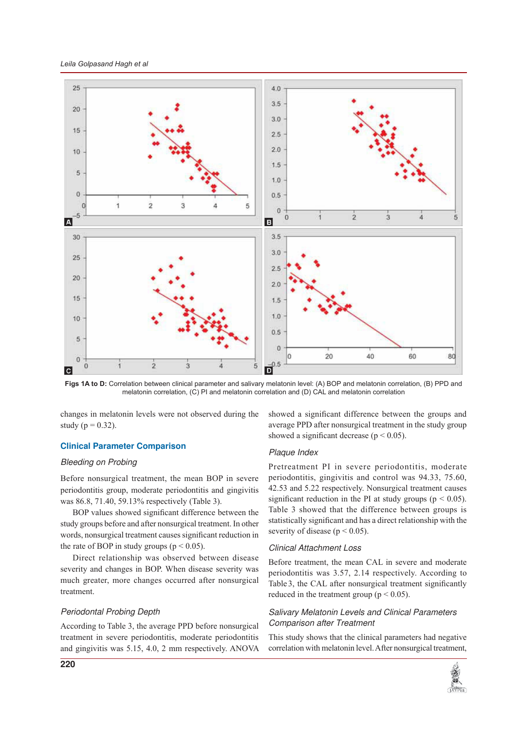

Figs 1A to D: Correlation between clinical parameter and salivary melatonin level: (A) BOP and melatonin correlation, (B) PPD and melatonin correlation, (C) PI and melatonin correlation and (D) CAL and melatonin correlation

changes in melatonin levels were not observed during the study ( $p = 0.32$ ).

## **Clinical Parameter Comparison**

#### **Bleeding on Probing**

Before nonsurgical treatment, the mean BOP in severe periodontitis group, moderate periodontitis and gingivitis was 86.8, 71.40, 59.13% respectively (Table 3).

BOP values showed significant difference between the study groups before and after nonsurgical treatment. In other words, nonsurgical treatment causes significant reduction in the rate of BOP in study groups ( $p < 0.05$ ).

Direct relationship was observed between disease severity and changes in BOP. When disease severity was much greater, more changes occurred after nonsurgical treatment.

## **Periodontal Probing Depth**

According to Table 3, the average PPD before nonsurgical treatment in severe periodontitis, moderate periodontitis and gingivitis was 5.15, 4.0, 2 mm respectively. ANOVA showed a significant difference between the groups and average PPD after nonsurgical treatment in the study group showed a significant decrease ( $p < 0.05$ ).

#### Plaque Index

Pretreatment PI in severe periodontitis, moderate periodontitis, gingivitis and control was 94.33, 75.60, 42.53 and 5.22 respectively. Nonsurgical treatment causes significant reduction in the PI at study groups ( $p < 0.05$ ). Table 3 showed that the difference between groups is statistically significant and has a direct relationship with the severity of disease ( $p < 0.05$ ).

## **Clinical Attachment Loss**

Before treatment, the mean CAL in severe and moderate periodontitis was 3.57, 2.14 respectively. According to Table 3, the CAL after nonsurgical treatment significantly reduced in the treatment group ( $p < 0.05$ ).

## Salivary Melatonin Levels and Clinical Parameters **Comparison after Treatment**

This study shows that the clinical parameters had negative correlation with melatonin level. After nonsurgical treatment,

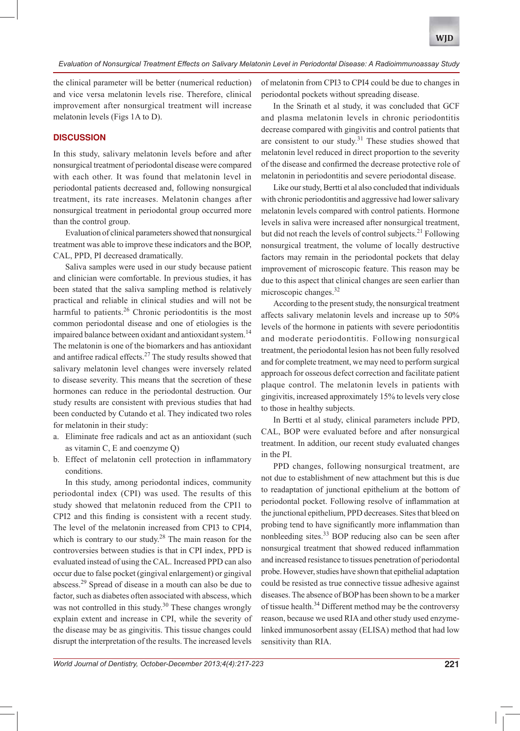the clinical parameter will be better (numerical reduction) and vice versa melatonin levels rise. Therefore, clinical improvement after nonsurgical treatment will increase melatonin levels (Figs 1A to D).

## **DISCUSSION**

In this study, salivary melatonin levels before and after nonsurgical treatment of periodontal disease were compared with each other. It was found that melatonin level in periodontal patients decreased and, following nonsurgical treatment, its rate increases. Melatonin changes after nonsurgical treatment in periodontal group occurred more than the control group.

Evaluation of clinical parameters showed that nonsurgical treatment was able to improve these indicators and the BOP, CAL, PPD, PI decreased dramatically.

Saliva samples were used in our study because patient and clinician were comfortable. In previous studies, it has been stated that the saliva sampling method is relatively practical and reliable in clinical studies and will not be harmful to patients.<sup>26</sup> Chronic periodontitis is the most common periodontal disease and one of etiologies is the impaired balance between oxidant and antioxidant system.<sup>14</sup> The melatonin is one of the biomarkers and has antioxidant and antifree radical effects.<sup>27</sup> The study results showed that salivary melatonin level changes were inversely related to disease severity. This means that the secretion of these hormones can reduce in the periodontal destruction. Our study results are consistent with previous studies that had been conducted by Cutando et al. They indicated two roles for melatonin in their study:

- a. Eliminate free radicals and act as an antioxidant (such as vitamin  $C$ , E and coenzyme  $Q$ )
- b. Effect of melatonin cell protection in inflammatory conditions.

In this study, among periodontal indices, community periodontal index (CPI) was used. The results of this study showed that melatonin reduced from the CPI1 to CPI2 and this finding is consistent with a recent study. The level of the melatonin increased from CPI3 to CPI4, which is contrary to our study. $28$  The main reason for the controversies between studies is that in CPI index, PPD is evaluated instead of using the CAL. Increased PPD can also occur due to false pocket (gingival enlargement) or gingival abscess.<sup>29</sup> Spread of disease in a mouth can also be due to factor, such as diabetes often associated with abscess, which was not controlled in this study.<sup>30</sup> These changes wrongly explain extent and increase in CPI, while the severity of the disease may be as gingivitis. This tissue changes could disrupt the interpretation of the results. The increased levels

of melatonin from CPI3 to CPI4 could be due to changes in periodontal pockets without spreading disease.

In the Srinath et al study, it was concluded that GCF and plasma melatonin levels in chronic periodontitis decrease compared with gingivitis and control patients that are consistent to our study.<sup>31</sup> These studies showed that melatonin level reduced in direct proportion to the severity of the disease and confirmed the decrease protective role of melatonin in periodontitis and severe periodontal disease.

Like our study, Bertti et al also concluded that individuals with chronic periodontitis and aggressive had lower salivary melatonin levels compared with control patients. Hormone levels in saliva were increased after nonsurgical treatment, but did not reach the levels of control subjects.<sup>21</sup> Following nonsurgical treatment, the volume of locally destructive factors may remain in the periodontal pockets that delay improvement of microscopic feature. This reason may be due to this aspect that clinical changes are seen earlier than microscopic changes.<sup>32</sup>

According to the present study, the nonsurgical treatment affects salivary melatonin levels and increase up to 50% levels of the hormone in patients with severe periodontitis and moderate periodontitis. Following nonsurgical treatment, the periodontal lesion has not been fully resolved and for complete treatment, we may need to perform surgical approach for osseous defect correction and facilitate patient plaque control. The melatonin levels in patients with gingivitis, increased approximately 15% to levels very close to those in healthy subjects.

In Bertti et al study, clinical parameters include PPD, CAL, BOP were evaluated before and after nonsurgical treatment. In addition, our recent study evaluated changes in the PI.

PPD changes, following nonsurgical treatment, are not due to establishment of new attachment but this is due to readaptation of junctional epithelium at the bottom of periodontal pocket. Following resolve of inflammation at the junctional epithelium, PPD decreases. Sites that bleed on probing tend to have significantly more inflammation than nonbleeding sites.<sup>33</sup> BOP reducing also can be seen after nonsurgical treatment that showed reduced inflammation and increased resistance to tissues penetration of periodontal probe. However, studies have shown that epithelial adaptation could be resisted as true connective tissue adhesive against diseases. The absence of BOP has been shown to be a marker of tissue health.<sup>34</sup> Different method may be the controversy reason, because we used RIA and other study used enzymelinked immunosorbent assay (ELISA) method that had low sensitivity than RIA.

World Journal of Dentistry, October-December 2013;4(4):217-223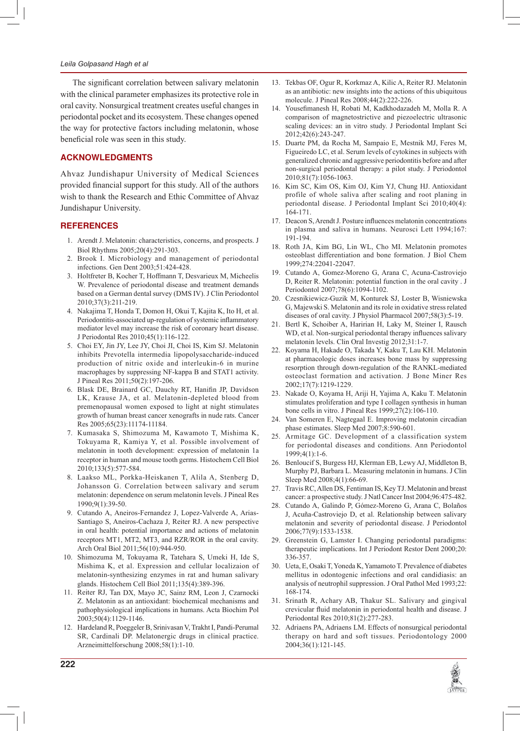#### Leila Golpasand Hagh et al

The significant correlation between salivary melatonin with the clinical parameter emphasizes its protective role in oral cavity. Nonsurgical treatment creates useful changes in periodontal pocket and its ecosystem. These changes opened the way for protective factors including melatonin, whose beneficial role was seen in this study.

## **ACKNOWLEDGMENTS**

Ahvaz Jundishapur University of Medical Sciences provided financial support for this study. All of the authors wish to thank the Research and Ethic Committee of Ahvaz Jundishapur University.

#### **REFERENCES**

- 1. Arendt J. Melatonin: characteristics, concerns, and prospects. J Biol Rhythms 2005;20(4):291-303.
- $\mathcal{L}$ Brook I. Microbiology and management of periodontal infections. Gen Dent 2003;51:424-428.
- 3. Holtfreter B, Kocher T, Hoffmann T, Desvarieux M, Micheelis W. Prevalence of periodontal disease and treatment demands based on a German dental survey (DMS IV). J Clin Periodontol 2010;37(3):211-219.
- 4. Nakajima T, Honda T, Domon H, Okui T, Kajita K, Ito H, et al. Periodontitis-associated up-regulation of systemic inflammatory mediator level may increase the risk of coronary heart disease. J Periodontal Res 2010;45(1):116-122.
- $5<sub>1</sub>$ Choi EY, Jin JY, Lee JY, Choi JI, Choi IS, Kim SJ. Melatonin inhibits Prevotella intermedia lipopolysaccharide-induced production of nitric oxide and interleukin-6 in murine macrophages by suppressing NF-kappa B and STAT1 activity. J Pineal Res 2011;50(2):197-206.
- 6. Blask DE, Brainard GC, Dauchy RT, Hanifin JP, Davidson LK, Krause JA, et al. Melatonin-depleted blood from premenopausal women exposed to light at night stimulates growth of human breast cancer xenografts in nude rats. Cancer Res 2005;65(23):11174-11184.
- 7. Kumasaka S, Shimozuma M, Kawamoto T, Mishima K, Tokuyama R, Kamiya Y, et al. Possible involvement of melatonin in tooth development: expression of melatonin 1a receptor in human and mouse tooth germs. Histochem Cell Biol 2010;133(5):577-584.
- 8. Laakso ML, Porkka-Heiskanen T, Alila A, Stenberg D, Johansson G. Correlation between salivary and serum melatonin: dependence on serum melatonin levels. J Pineal Res 1990:9(1):39-50.
- 9. Cutando A, Aneiros-Fernandez J, Lopez-Valverde A, Arias-Santiago S, Aneiros-Cachaza J, Reiter RJ. A new perspective in oral health: potential importance and actions of melatonin receptors MT1, MT2, MT3, and RZR/ROR in the oral cavity. Arch Oral Biol 2011;56(10):944-950.
- 10. Shimozuma M, Tokuyama R, Tatehara S, Umeki H, Ide S, Mishima K, et al. Expression and cellular localizaion of melatonin-synthesizing enzymes in rat and human salivary glands. Histochem Cell Biol 2011;135(4):389-396.
- 11. Reiter RJ, Tan DX, Mayo JC, Sainz RM, Leon J, Czarnocki Z. Melatonin as an antioxidant: biochemical mechanisms and pathophysiological implications in humans. Acta Biochim Pol 2003;50(4):1129-1146.
- 12. Hardeland R, Poeggeler B, Srinivasan V, Trakht I, Pandi-Perumal SR, Cardinali DP. Melatonergic drugs in clinical practice. Arzneimittelforschung 2008;58(1):1-10.
- 13. Tekbas OF, Ogur R, Korkmaz A, Kilic A, Reiter RJ. Melatonin as an antibiotic: new insights into the actions of this ubiquitous molecule. J Pineal Res 2008;44(2):222-226.
- $14$ Yousefimanesh H, Robati M, Kadkhodazadeh M, Molla R. A comparison of magnetostrictive and piezoelectric ultrasonic scaling devices: an in vitro study. J Periodontal Implant Sci 2012:42(6):243-247.
- 15. Duarte PM, da Rocha M, Sampaio E, Mestnik MJ, Feres M, Figueiredo LC, et al. Serum levels of cytokines in subjects with generalized chronic and aggressive periodontitis before and after non-surgical periodontal therapy: a pilot study. J Periodontol 2010;81(7):1056-1063.
- 16. Kim SC, Kim OS, Kim OJ, Kim YJ, Chung HJ. Antioxidant profile of whole saliva after scaling and root planing in periodontal disease. J Periodontal Implant Sci 2010;40(4): 164-171
- 17. Deacon S, Arendt J. Posture influences melatonin concentrations in plasma and saliva in humans. Neurosci Lett 1994;167: 191-194
- 18. Roth JA, Kim BG, Lin WL, Cho MI. Melatonin promotes osteoblast differentiation and bone formation. J Biol Chem 1999:274:22041-22047.
- Cutando A, Gomez-Moreno G, Arana C, Acuna-Castroviejo 19. D, Reiter R. Melatonin: potential function in the oral cavity . J Periodontol 2007;78(6):1094-1102.
- 20. Czesnikiewicz-Guzik M, Konturek SJ, Loster B, Wisniewska G, Majewski S. Melatonin and its role in oxidative stress related diseases of oral cavity. J Physiol Pharmacol 2007;58(3):5-19.
- 21. Bertl K, Schoiber A, Haririan H, Laky M, Steiner I, Rausch WD, et al. Non-surgical periodontal therapy influences salivary melatonin levels. Clin Oral Investig 2012;31:1-7.
- 22. Koyama H, Hakade O, Takada Y, Kaku T, Lau KH. Melatonin at pharmacologic doses increases bone mass by suppressing resorption through down-regulation of the RANKL-mediated osteoclast formation and activation. J Bone Miner Res 2002;17(7):1219-1229
- 23. Nakade O, Koyama H, Ariji H, Yajima A, Kaku T. Melatonin stimulates proliferation and type I collagen synthesis in human bone cells in vitro. J Pineal Res 1999;27(2):106-110.
- $24$ Van Someren E, Nagtegaal E. Improving melatonin circadian phase estimates. Sleep Med 2007;8:590-601.
- 25. Armitage GC. Development of a classification system for periodontal diseases and conditions. Ann Periodontol 1999;4(1):1-6.
- 26. Benloucif S, Burgess HJ, Klerman EB, Lewy AJ, Middleton B, Murphy PJ, Barbara L. Measuring melatonin in humans. J Clin Sleep Med 2008;4(1):66-69.
- Travis RC, Allen DS, Fentiman IS, Key TJ. Melatonin and breast 27. cancer: a prospective study. J Natl Cancer Inst 2004;96:475-482.
- Cutando A, Galindo P, Gómez-Moreno G, Arana C, Bolaños 28. J, Acuña-Castroviejo D, et al. Relationship between salivary melatonin and severity of periodontal disease. J Periodontol 2006;77(9):1533-1538.
- 29. Greenstein G, Lamster I. Changing periodontal paradigms: therapeutic implications. Int J Periodont Restor Dent 2000;20: 336-357
- 30. Ueta, E, Osaki T, Yoneda K, Yamamoto T. Prevalence of diabetes mellitus in odontogenic infections and oral candidiasis: an analysis of neutrophil suppression. J Oral Pathol Med 1993;22: 168-174.
- 31. Srinath R, Achary AB, Thakur SL. Salivary and gingival crevicular fluid melatonin in periodontal health and disease. J Periodontal Res 2010;81(2):277-283.
- 32. Adriaens PA, Adriaens LM. Effects of nonsurgical periodontal therapy on hard and soft tissues. Periodontology 2000 2004;36(1):121-145.